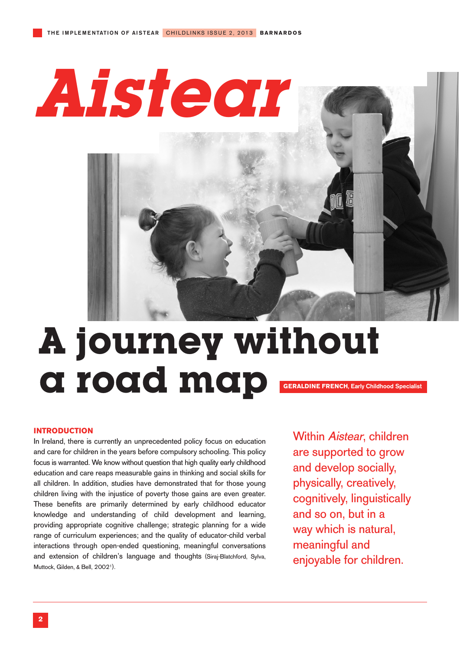**Aistear** 

# **A journey without a rotation of the road map GERALDINE FRENCH**, Early Childhood Specialist

# **INTRODUCTION**

In Ireland, there is currently an unprecedented policy focus on education and care for children in the years before compulsory schooling. This policy focus is warranted. We know without question that high quality early childhood education and care reaps measurable gains in thinking and social skills for all children. In addition, studies have demonstrated that for those young children living with the injustice of poverty those gains are even greater. These benefits are primarily determined by early childhood educator knowledge and understanding of child development and learning, providing appropriate cognitive challenge; strategic planning for a wide range of curriculum experiences; and the quality of educator-child verbal interactions through open-ended questioning, meaningful conversations and extension of children's language and thoughts (Siraj-Blatchford, Sylva, Muttock, Gilden, & Bell, 20021).

Within Aistear, children are supported to grow and develop socially, physically, creatively, cognitively, linguistically and so on, but in a way which is natural, meaningful and enjoyable for children.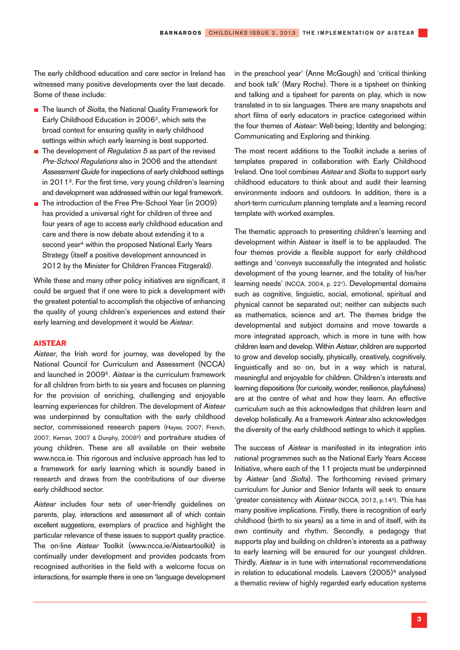The early childhood education and care sector in Ireland has witnessed many positive developments over the last decade. Some of these include:

- The launch of Siolta, the National Quality Framework for Early Childhood Education in 2006<sup>2</sup>, which sets the broad context for ensuring quality in early childhood settings within which early learning is best supported.
- The development of Regulation 5 as part of the revised  $\blacksquare$ Pre-School Regulations also in 2006 and the attendant Assessment Guide for inspections of early childhood settings in 20113. For the first time, very young children's learning and development was addressed within our legal framework.
- The introduction of the Free Pre-School Year (in 2009) has provided a universal right for children of three and four years of age to access early childhood education and care and there is now debate about extending it to a second year<sup>4</sup> within the proposed National Early Years Strategy (itself a positive development announced in 2012 by the Minister for Children Frances Fitzgerald).

While these and many other policy initiatives are significant, it could be argued that if one were to pick a development with the greatest potential to accomplish the objective of enhancing the quality of young children's experiences and extend their early learning and development it would be Aistear.

### **AISTEAR**

Aistear, the Irish word for journey, was developed by the National Council for Curriculum and Assessment (NCCA) and launched in 20095. Aistear is the curriculum framework for all children from birth to six years and focuses on planning for the provision of enriching, challenging and enjoyable learning experiences for children. The development of Aistear was underpinned by consultation with the early childhood sector, commissioned research papers (Hayes, 2007; French, 2007; Kernan, 2007 & Dunphy, 2008<sup>6</sup>) and portraiture studies of young children. These are all available on their website www.ncca.ie. This rigorous and inclusive approach has led to a framework for early learning which is soundly based in research and draws from the contributions of our diverse early childhood sector.

Aistear includes four sets of user-friendly guidelines on parents, play, interactions and assessment all of which contain excellent suggestions, exemplars of practice and highlight the particular relevance of these issues to support quality practice. The on-line Aistear Toolkit (www.ncca.ie/Aisteartoolkit) is continually under development and provides podcasts from recognised authorities in the field with a welcome focus on interactions, for example there is one on 'language development in the preschool year' (Anne McGough) and 'critical thinking and book talk' (Mary Roche). There is a tipsheet on thinking and talking and a tipsheet for parents on play, which is now translated in to six languages. There are many snapshots and short films of early educators in practice categorised within the four themes of Aistear: Well-being; Identity and belonging; Communicating and Exploring and thinking.

The most recent additions to the Toolkit include a series of templates prepared in collaboration with Early Childhood Ireland. One tool combines Aistear and Siolta to support early childhood educators to think about and audit their learning environments indoors and outdoors. In addition, there is a short-term curriculum planning template and a learning record template with worked examples.

The thematic approach to presenting children's learning and development within Aistear is itself is to be applauded. The four themes provide a flexible support for early childhood settings and 'conveys successfully the integrated and holistic development of the young learner, and the totality of his/her learning needs' (NCCA, 2004, p. 227). Developmental domains such as cognitive, linguistic, social, emotional, spiritual and physical cannot be separated out; neither can subjects such as mathematics, science and art. The themes bridge the developmental and subject domains and move towards a more integrated approach, which is more in tune with how children learn and develop. Within Aistear, children are supported to grow and develop socially, physically, creatively, cognitively, linguistically and so on, but in a way which is natural, meaningful and enjoyable for children. Children's interests and learning dispositions (for curiosity, wonder, resilience, playfulness) are at the centre of what and how they learn. An effective curriculum such as this acknowledges that children learn and develop holistically. As a framework Aistear also acknowledges the diversity of the early childhood settings to which it applies.

The success of *Aistear* is manifested in its integration into national programmes such as the National Early Years Access Initiative, where each of the 11 projects must be underpinned by Aistear (and Siolta). The forthcoming revised primary curriculum for Junior and Senior Infants will seek to ensure 'greater consistency with Aistear (NCCA, 2012, p.148). This has many positive implications. Firstly, there is recognition of early childhood (birth to six years) as a time in and of itself, with its own continuity and rhythm. Secondly, a pedagogy that supports play and building on children's interests as a pathway to early learning will be ensured for our youngest children. Thirdly, Aistear is in tune with international recommendations in relation to educational models. Laevers (2005)<sup>9</sup> analysed a thematic review of highly regarded early education systems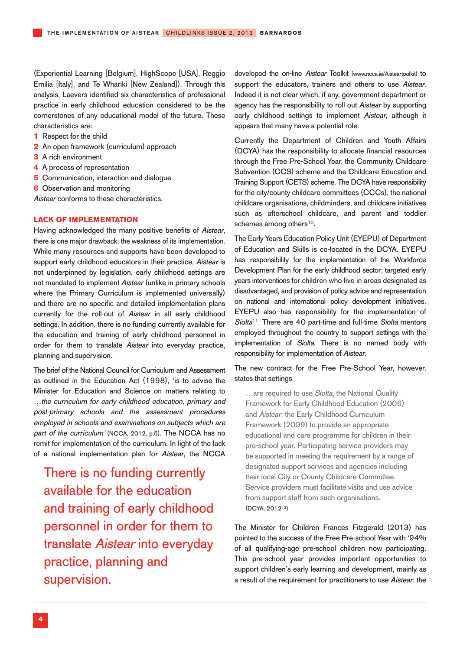(Experiential Learning [Belgium], HighScope [USA], Reggio Emilia [Italy], and Te Whariki [New Zealand]). Through this analysis, Laevers identified six characteristics of professional practice in early childhood education considered to be the cornerstones of any educational model of the future. These characteristics are:

- **1** Respect for the child
- **2** An open framework (curriculum) approach
- **3** A rich environment
- **4** A process of representation
- **5** Communication, interaction and dialogue
- **6** Observation and monitoring

Aistear conforms to these characteristics.

## **LACK OF IMPLEMENTATION**

Having acknowledged the many positive benefits of Aistear, there is one major drawback; the weakness of its implementation. While many resources and supports have been developed to support early childhood educators in their practice, Aistear is not underpinned by legislation, early childhood settings are not mandated to implement Aistear (unlike in primary schools where the Primary Curriculum is implemented universally) and there are no specific and detailed implementation plans currently for the roll-out of Aistear in all early childhood settings. In addition, there is no funding currently available for the education and training of early childhood personnel in order for them to translate Aistear into everyday practice, planning and supervision.

The brief of the National Council for Curriculum and Assessment as outlined in the Education Act (1998), 'is to advise the Minister for Education and Science on matters relating to …the curriculum for early childhood education, primary and post-primary schools and the assessment procedures employed in schools and examinations on subjects which are part of the curriculum' (NCCA, 2012, p.5). The NCCA has no remit for implementation of the curriculum. In light of the lack of a national implementation plan for Aistear, the NCCA

There is no funding currently available for the education and training of early childhood personnel in order for them to translate Aistear into everyday practice, planning and supervision.

developed the on-line Aistear Toolkit (www.ncca.ie/Aisteartoolkit) to support the educators, trainers and others to use Aistear. Indeed it is not clear which, if any, government department or agency has the responsibility to roll out Aistear by supporting early childhood settings to implement Aistear, although it appears that many have a potential role.

Currently the Department of Children and Youth Affairs (DCYA) has the responsibility to allocate financial resources through the Free Pre-School Year, the Community Childcare Subvention (CCS) scheme and the Childcare Education and Training Support (CETS) scheme. The DCYA have responsibility for the city/county childcare committees (CCCs), the national childcare organisations, childminders, and childcare initiatives such as afterschool childcare, and parent and toddler schemes among others<sup>10</sup>.

The Early Years Education Policy Unit (EYEPU) of Department of Education and Skills is co-located in the DCYA. EYEPU has responsibility for the implementation of the Workforce Development Plan for the early childhood sector; targeted early years interventions for children who live in areas designated as disadvantaged, and provision of policy advice and representation on national and international policy development initiatives. EYEPU also has responsibility for the implementation of Siolta<sup>11</sup>. There are 40 part-time and full-time Siolta mentors employed throughout the country to support settings with the implementation of Siolta. There is no named body with responsibility for implementation of Aistear.

The new contract for the Free Pre-School Year, however, states that settings

... are required to use Siolta, the National Quality Framework for Early Childhood Education (2006) and Aistear: the Early Childhood Curriculum Framework (2009) to provide an appropriate educational and care programme for children in their pre-school year. Participating service providers may be supported in meeting the requirement by a range of designated support services and agencies including their local City or County Childcare Committee. Service providers must facilitate visits and use advice from support staff from such organisations. (DCYA, 201212)

The Minister for Children Frances Fitzgerald (2013) has pointed to the success of the Free Pre-school Year with '94% of all qualifying-age pre-school children now participating. This pre-school year provides important opportunities to support children's early learning and development, mainly as a result of the requirement for practitioners to use Aistear: the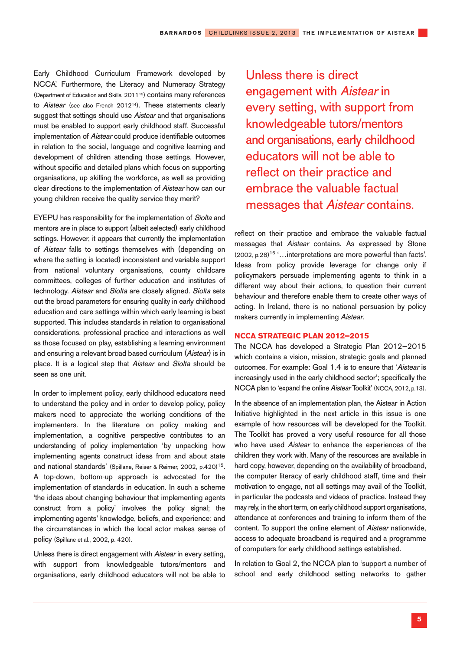Early Childhood Curriculum Framework developed by NCCA'. Furthermore, the Literacy and Numeracy Strategy (Department of Education and Skills, 201113) contains many references to Aistear (see also French 2012<sup>14</sup>). These statements clearly suggest that settings should use Aistear and that organisations must be enabled to support early childhood staff. Successful implementation of Aistear could produce identifiable outcomes in relation to the social, language and cognitive learning and development of children attending those settings. However, without specific and detailed plans which focus on supporting organisations, up skilling the workforce, as well as providing clear directions to the implementation of Aistear how can our young children receive the quality service they merit?

EYEPU has responsibility for the implementation of Siolta and mentors are in place to support (albeit selected) early childhood settings. However, it appears that currently the implementation of Aistear falls to settings themselves with (depending on where the setting is located) inconsistent and variable support from national voluntary organisations, county childcare committees, colleges of further education and institutes of technology. Aistear and Siolta are closely aligned. Siolta sets out the broad parameters for ensuring quality in early childhood education and care settings within which early learning is best supported. This includes standards in relation to organisational considerations, professional practice and interactions as well as those focused on play, establishing a learning environment and ensuring a relevant broad based curriculum (Aistear) is in place. It is a logical step that Aistear and Síolta should be seen as one unit.

In order to implement policy, early childhood educators need to understand the policy and in order to develop policy, policy makers need to appreciate the working conditions of the implementers. In the literature on policy making and implementation, a cognitive perspective contributes to an understanding of policy implementation 'by unpacking how implementing agents construct ideas from and about state and national standards' (Spillane, Reiser & Reimer, 2002, p.420)<sup>15</sup>. A top-down, bottom-up approach is advocated for the implementation of standards in education. In such a scheme 'the ideas about changing behaviour that implementing agents construct from a policy' involves the policy signal; the implementing agents' knowledge, beliefs, and experience; and the circumstances in which the local actor makes sense of policy (Spillane et al., 2002, p. 420).

Unless there is direct engagement with Aistear in every setting. with support from knowledgeable tutors/mentors and organisations, early childhood educators will not be able to

Unless there is direct engagement with Aistear in every setting, with support from knowledgeable tutors/mentors and organisations, early childhood educators will not be able to reflect on their practice and embrace the valuable factual messages that Aistear contains.

reflect on their practice and embrace the valuable factual messages that Aistear contains. As expressed by Stone  $(2002, p.28)$ <sup>16</sup> '... interpretations are more powerful than facts'. Ideas from policy provide leverage for change only if policymakers persuade implementing agents to think in a different way about their actions, to question their current behaviour and therefore enable them to create other ways of acting. In Ireland, there is no national persuasion by policy makers currently in implementing Aistear.

## **NCCA STRATEGIC PLAN 2012–2015**

The NCCA has developed a Strategic Plan 2012–2015 which contains a vision, mission, strategic goals and planned outcomes. For example: Goal 1.4 is to ensure that 'Aistear is increasingly used in the early childhood sector'; specifically the NCCA plan to 'expand the online Aistear Toolkit' (NCCA, 2012, p.13).

In the absence of an implementation plan, the Aistear in Action Initiative highlighted in the next article in this issue is one example of how resources will be developed for the Toolkit. The Toolkit has proved a very useful resource for all those who have used Aistear to enhance the experiences of the children they work with. Many of the resources are available in hard copy, however, depending on the availability of broadband, the computer literacy of early childhood staff, time and their motivation to engage, not all settings may avail of the Toolkit, in particular the podcasts and videos of practice. Instead they may rely, in the short term, on early childhood support organisations, attendance at conferences and training to inform them of the content. To support the online element of Aistear nationwide, access to adequate broadband is required and a programme of computers for early childhood settings established.

In relation to Goal 2, the NCCA plan to 'support a number of school and early childhood setting networks to gather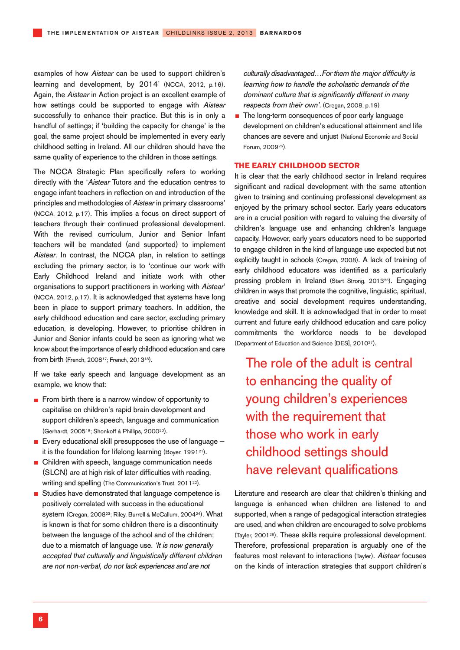examples of how Aistear can be used to support children's learning and development, by 2014' (NCCA, 2012, p.16). Again, the Aistear in Action project is an excellent example of how settings could be supported to engage with Aistear successfully to enhance their practice. But this is in only a handful of settings; if 'building the capacity for change' is the goal, the same project should be implemented in every early childhood setting in Ireland. All our children should have the same quality of experience to the children in those settings.

The NCCA Strategic Plan specifically refers to working directly with the 'Aistear Tutors and the education centres to engage infant teachers in reflection on and introduction of the principles and methodologies of Aistear in primary classrooms' (NCCA, 2012, p.17). This implies a focus on direct support of teachers through their continued professional development. With the revised curriculum, Junior and Senior Infant teachers will be mandated (and supported) to implement Aistear. In contrast, the NCCA plan, in relation to settings excluding the primary sector, is to 'continue our work with Early Childhood Ireland and initiate work with other organisations to support practitioners in working with Aistear' (NCCA, 2012, p.17). It is acknowledged that systems have long been in place to support primary teachers. In addition, the early childhood education and care sector, excluding primary education, is developing. However, to prioritise children in Junior and Senior infants could be seen as ignoring what we know about the importance of early childhood education and care from birth (French, 200817; French, 201318).

If we take early speech and language development as an example, we know that:

- From birth there is a narrow window of opportunity to capitalise on children's rapid brain development and support children's speech, language and communication (Gerhardt, 200519; Shonkoff & Phillips, 200020).
- Every educational skill presupposes the use of language  $$ it is the foundation for lifelong learning (Boyer, 199121).
- **n** Children with speech, language communication needs (SLCN) are at high risk of later difficulties with reading, writing and spelling (The Communication's Trust, 2011<sup>22</sup>).
- Studies have demonstrated that language competence is positively correlated with success in the educational system (Cregan, 200823; Riley, Burrell & McCallum, 200424). What is known is that for some children there is a discontinuity between the language of the school and of the children; due to a mismatch of language use. 'It is now generally accepted that culturally and linguistically different children are not non-verbal, do not lack experiences and are not

culturally disadvantaged…For them the major difficulty is learning how to handle the scholastic demands of the dominant culture that is significantly different in many respects from their own'. (Cregan, 2008, p.19)

The long-term consequences of poor early language  $\blacksquare$ development on children's educational attainment and life chances are severe and unjust (National Economic and Social Forum, 200925).

## **THE EARLY CHILDHOOD SECTOR**

It is clear that the early childhood sector in Ireland requires significant and radical development with the same attention given to training and continuing professional development as enjoyed by the primary school sector. Early years educators are in a crucial position with regard to valuing the diversity of children's language use and enhancing children's language capacity. However, early years educators need to be supported to engage children in the kind of language use expected but not explicitly taught in schools (Cregan, 2008). A lack of training of early childhood educators was identified as a particularly pressing problem in Ireland (Start Strong, 2013<sup>26</sup>). Engaging children in ways that promote the cognitive, linguistic, spiritual, creative and social development requires understanding, knowledge and skill. It is acknowledged that in order to meet current and future early childhood education and care policy commitments the workforce needs to be developed (Department of Education and Science [DES], 201027).

The role of the adult is central to enhancing the quality of young children's experiences with the requirement that those who work in early childhood settings should have relevant qualifications

Literature and research are clear that children's thinking and language is enhanced when children are listened to and supported, when a range of pedagogical interaction strategies are used, and when children are encouraged to solve problems (Tayler, 200128). These skills require professional development. Therefore, professional preparation is arguably one of the features most relevant to interactions (Tayler). Aistear focuses on the kinds of interaction strategies that support children's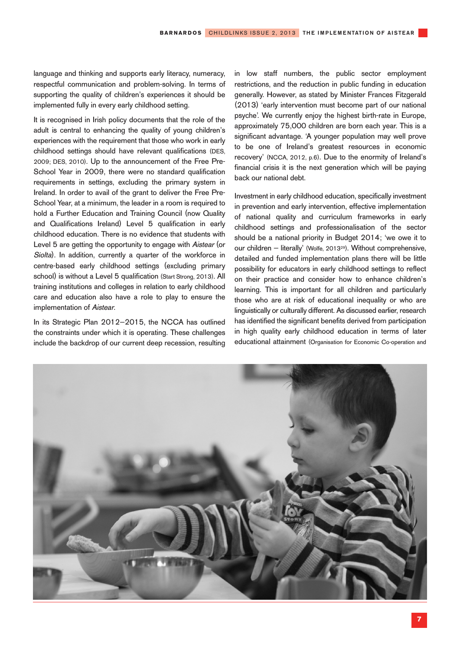language and thinking and supports early literacy, numeracy, respectful communication and problem-solving. In terms of supporting the quality of children's experiences it should be implemented fully in every early childhood setting.

It is recognised in Irish policy documents that the role of the adult is central to enhancing the quality of young children's experiences with the requirement that those who work in early childhood settings should have relevant qualifications (DES, 2009; DES, 2010). Up to the announcement of the Free Pre-School Year in 2009, there were no standard qualification requirements in settings, excluding the primary system in Ireland. In order to avail of the grant to deliver the Free Pre-School Year, at a minimum, the leader in a room is required to hold a Further Education and Training Council (now Quality and Qualifications Ireland) Level 5 qualification in early childhood education. There is no evidence that students with Level 5 are getting the opportunity to engage with Aistear (or Siolta). In addition, currently a quarter of the workforce in centre-based early childhood settings (excluding primary school) is without a Level 5 qualification (Start Strong, 2013). All training institutions and colleges in relation to early childhood care and education also have a role to play to ensure the implementation of Aistear.

In its Strategic Plan 2012–2015, the NCCA has outlined the constraints under which it is operating. These challenges include the backdrop of our current deep recession, resulting

in low staff numbers, the public sector employment restrictions, and the reduction in public funding in education generally. However, as stated by Minister Frances Fitzgerald (2013) 'early intervention must become part of our national psyche'. We currently enjoy the highest birth-rate in Europe, approximately 75,000 children are born each year. This is a significant advantage. 'A younger population may well prove to be one of Ireland's greatest resources in economic recovery' (NCCA, 2012, p.6). Due to the enormity of Ireland's financial crisis it is the next generation which will be paying back our national debt.

Investment in early childhood education, specifically investment in prevention and early intervention, effective implementation of national quality and curriculum frameworks in early childhood settings and professionalisation of the sector should be a national priority in Budget 2014; 'we owe it to our children – literally' (Wolfe, 201329). Without comprehensive, detailed and funded implementation plans there will be little possibility for educators in early childhood settings to reflect on their practice and consider how to enhance children's learning. This is important for all children and particularly those who are at risk of educational inequality or who are linguistically or culturally different. As discussed earlier, research has identified the significant benefits derived from participation in high quality early childhood education in terms of later educational attainment (Organisation for Economic Co-operation and